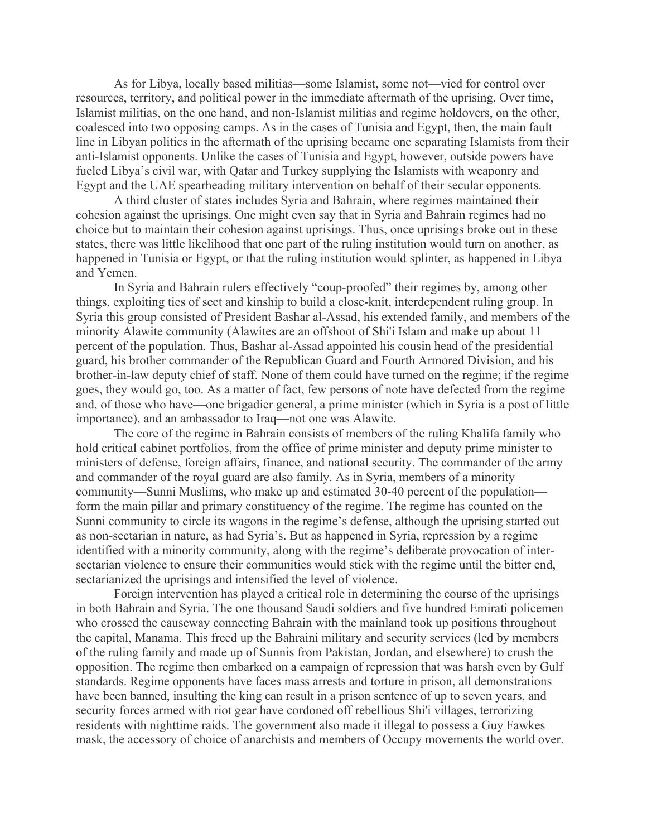As for Libya, locally based militias—some Islamist, some not—vied for control over resources, territory, and political power in the immediate aftermath of the uprising. Over time, Islamist militias, on the one hand, and non-Islamist militias and regime holdovers, on the other, coalesced into two opposing camps. As in the cases of Tunisia and Egypt, then, the main fault line in Libyan politics in the aftermath of the uprising became one separating Islamists from their anti-Islamist opponents. Unlike the cases of Tunisia and Egypt, however, outside powers have fueled Libya's civil war, with Qatar and Turkey supplying the Islamists with weaponry and Egypt and the UAE spearheading military intervention on behalf of their secular opponents.

A third cluster of states includes Syria and Bahrain, where regimes maintained their cohesion against the uprisings. One might even say that in Syria and Bahrain regimes had no choice but to maintain their cohesion against uprisings. Thus, once uprisings broke out in these states, there was little likelihood that one part of the ruling institution would turn on another, as happened in Tunisia or Egypt, or that the ruling institution would splinter, as happened in Libya and Yemen.

In Syria and Bahrain rulers effectively "coup-proofed" their regimes by, among other things, exploiting ties of sect and kinship to build a close-knit, interdependent ruling group. In Syria this group consisted of President Bashar al-Assad, his extended family, and members of the minority Alawite community (Alawites are an offshoot of Shi'i Islam and make up about 11 percent of the population. Thus, Bashar al-Assad appointed his cousin head of the presidential guard, his brother commander of the Republican Guard and Fourth Armored Division, and his brother-in-law deputy chief of staff. None of them could have turned on the regime; if the regime goes, they would go, too. As a matter of fact, few persons of note have defected from the regime and, of those who have—one brigadier general, a prime minister (which in Syria is a post of little importance), and an ambassador to Iraq—not one was Alawite.

The core of the regime in Bahrain consists of members of the ruling Khalifa family who hold critical cabinet portfolios, from the office of prime minister and deputy prime minister to ministers of defense, foreign affairs, finance, and national security. The commander of the army and commander of the royal guard are also family. As in Syria, members of a minority community—Sunni Muslims, who make up and estimated 30-40 percent of the population form the main pillar and primary constituency of the regime. The regime has counted on the Sunni community to circle its wagons in the regime's defense, although the uprising started out as non-sectarian in nature, as had Syria's. But as happened in Syria, repression by a regime identified with a minority community, along with the regime's deliberate provocation of intersectarian violence to ensure their communities would stick with the regime until the bitter end, sectarianized the uprisings and intensified the level of violence.

Foreign intervention has played a critical role in determining the course of the uprisings in both Bahrain and Syria. The one thousand Saudi soldiers and five hundred Emirati policemen who crossed the causeway connecting Bahrain with the mainland took up positions throughout the capital, Manama. This freed up the Bahraini military and security services (led by members of the ruling family and made up of Sunnis from Pakistan, Jordan, and elsewhere) to crush the opposition. The regime then embarked on a campaign of repression that was harsh even by Gulf standards. Regime opponents have faces mass arrests and torture in prison, all demonstrations have been banned, insulting the king can result in a prison sentence of up to seven years, and security forces armed with riot gear have cordoned off rebellious Shi'i villages, terrorizing residents with nighttime raids. The government also made it illegal to possess a Guy Fawkes mask, the accessory of choice of anarchists and members of Occupy movements the world over.